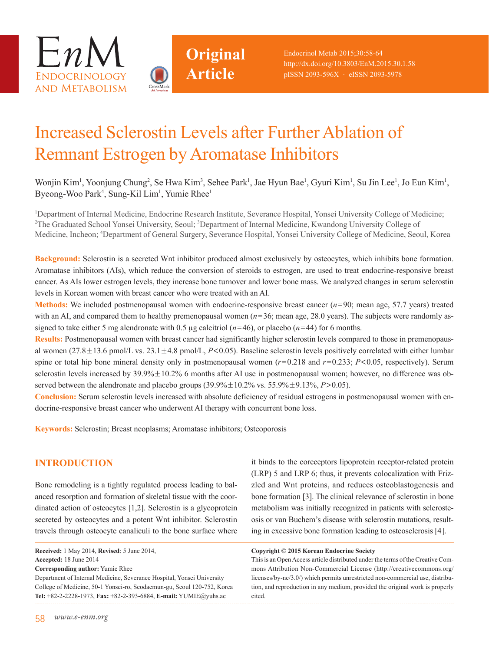



Endocrinol Metab 2015;30:58-64 http://dx.doi.org/10.3803/EnM.2015.30.1.58 pISSN 2093-596X · eISSN 2093-5978

# Increased Sclerostin Levels after Further Ablation of Remnant Estrogen by Aromatase Inhibitors

**Original**

**Article**

Wonjin Kim<sup>1</sup>, Yoonjung Chung<sup>2</sup>, Se Hwa Kim<sup>3</sup>, Sehee Park<sup>1</sup>, Jae Hyun Bae<sup>1</sup>, Gyuri Kim<sup>1</sup>, Su Jin Lee<sup>1</sup>, Jo Eun Kim<sup>1</sup>, Byeong-Woo Park<sup>4</sup>, Sung-Kil Lim<sup>1</sup>, Yumie Rhee<sup>1</sup>

1 Department of Internal Medicine, Endocrine Research Institute, Severance Hospital, Yonsei University College of Medicine; <sup>2</sup>The Graduated School Yonsei University, Seoul; <sup>3</sup>Department of Internal Medicine, Kwandong University College of Medicine, Incheon; 4 Department of General Surgery, Severance Hospital, Yonsei University College of Medicine, Seoul, Korea

**Background:** Sclerostin is a secreted Wnt inhibitor produced almost exclusively by osteocytes, which inhibits bone formation. Aromatase inhibitors (AIs), which reduce the conversion of steroids to estrogen, are used to treat endocrine-responsive breast cancer. As AIs lower estrogen levels, they increase bone turnover and lower bone mass. We analyzed changes in serum sclerostin levels in Korean women with breast cancer who were treated with an AI.

**Methods:** We included postmenopausal women with endocrine-responsive breast cancer  $(n=90;$  mean age, 57.7 years) treated with an AI, and compared them to healthy premenopausal women ( $n=36$ ; mean age, 28.0 years). The subjects were randomly assigned to take either 5 mg alendronate with 0.5  $\mu$ g calcitriol ( $n=46$ ), or placebo ( $n=44$ ) for 6 months.

**Results:** Postmenopausal women with breast cancer had significantly higher sclerostin levels compared to those in premenopausal women (27.8±13.6 pmol/L vs. 23.1±4.8 pmol/L, *P*<0.05). Baseline sclerostin levels positively correlated with either lumbar spine or total hip bone mineral density only in postmenopausal women (*r*=0.218 and *r*=0.233; *P*<0.05, respectively). Serum sclerostin levels increased by  $39.9\% \pm 10.2\%$  6 months after AI use in postmenopausal women; however, no difference was observed between the alendronate and placebo groups (39.9%±10.2% vs. 55.9%±9.13%, *P*>0.05).

**Conclusion:** Serum sclerostin levels increased with absolute deficiency of residual estrogens in postmenopausal women with endocrine-responsive breast cancer who underwent AI therapy with concurrent bone loss.

**Keywords:** Sclerostin; Breast neoplasms; Aromatase inhibitors; Osteoporosis

# **INTRODUCTION**

Bone remodeling is a tightly regulated process leading to balanced resorption and formation of skeletal tissue with the coordinated action of osteocytes [1,2]. Sclerostin is a glycoprotein secreted by osteocytes and a potent Wnt inhibitor. Sclerostin travels through osteocyte canaliculi to the bone surface where

**Corresponding author:** Yumie Rhee

Department of Internal Medicine, Severance Hospital, Yonsei University College of Medicine, 50-1 Yonsei-ro, Seodaemun-gu, Seoul 120-752, Korea **Tel:** +82-2-2228-1973, **Fax:** +82-2-393-6884, **E-mail:** YUMIE@yuhs.ac

it binds to the coreceptors lipoprotein receptor-related protein (LRP) 5 and LRP 6; thus, it prevents colocalization with Frizzled and Wnt proteins, and reduces osteoblastogenesis and bone formation [3]. The clinical relevance of sclerostin in bone metabolism was initially recognized in patients with sclerosteosis or van Buchem's disease with sclerostin mutations, resulting in excessive bone formation leading to osteosclerosis [4].

#### **Copyright © 2015 Korean Endocrine Society**

This is an Open Access article distributed under the terms of the Creative Commons Attribution Non-Commercial License (http://creativecommons.org/ licenses/by-nc/3.0/) which permits unrestricted non-commercial use, distribution, and reproduction in any medium, provided the original work is properly cited.

**Received:** 1 May 2014, **Revised**: 5 June 2014, **Accepted:** 18 June 2014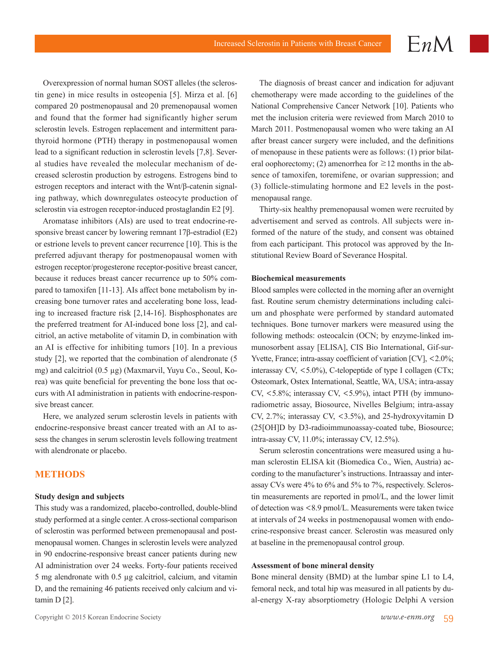Overexpression of normal human SOST alleles (the sclerostin gene) in mice results in osteopenia [5]. Mirza et al. [6] compared 20 postmenopausal and 20 premenopausal women and found that the former had significantly higher serum sclerostin levels. Estrogen replacement and intermittent parathyroid hormone (PTH) therapy in postmenopausal women lead to a significant reduction in sclerostin levels [7,8]. Several studies have revealed the molecular mechanism of decreased sclerostin production by estrogens. Estrogens bind to estrogen receptors and interact with the Wnt/β-catenin signaling pathway, which downregulates osteocyte production of sclerostin via estrogen receptor-induced prostaglandin E2 [9].

Aromatase inhibitors (AIs) are used to treat endocrine-responsive breast cancer by lowering remnant 17β-estradiol (E2) or estrione levels to prevent cancer recurrence [10]. This is the preferred adjuvant therapy for postmenopausal women with estrogen receptor/progesterone receptor-positive breast cancer, because it reduces breast cancer recurrence up to 50% compared to tamoxifen [11-13]. AIs affect bone metabolism by increasing bone turnover rates and accelerating bone loss, leading to increased fracture risk [2,14-16]. Bisphosphonates are the preferred treatment for AI-induced bone loss [2], and calcitriol, an active metabolite of vitamin D, in combination with an AI is effective for inhibiting tumors [10]. In a previous study [2], we reported that the combination of alendronate (5 mg) and calcitriol (0.5 µg) (Maxmarvil, Yuyu Co., Seoul, Korea) was quite beneficial for preventing the bone loss that occurs with AI administration in patients with endocrine-responsive breast cancer.

Here, we analyzed serum sclerostin levels in patients with endocrine-responsive breast cancer treated with an AI to assess the changes in serum sclerostin levels following treatment with alendronate or placebo.

## **METHODS**

#### **Study design and subjects**

This study was a randomized, placebo-controlled, double-blind study performed at a single center. A cross-sectional comparison of sclerostin was performed between premenopausal and postmenopausal women. Changes in sclerostin levels were analyzed in 90 endocrine-responsive breast cancer patients during new AI administration over 24 weeks. Forty-four patients received 5 mg alendronate with 0.5 µg calcitriol, calcium, and vitamin D, and the remaining 46 patients received only calcium and vitamin D [2].

The diagnosis of breast cancer and indication for adjuvant chemotherapy were made according to the guidelines of the National Comprehensive Cancer Network [10]. Patients who met the inclusion criteria were reviewed from March 2010 to March 2011. Postmenopausal women who were taking an AI after breast cancer surgery were included, and the definitions of menopause in these patients were as follows: (1) prior bilateral oophorectomy; (2) amenorrhea for  $\geq$  12 months in the absence of tamoxifen, toremifene, or ovarian suppression; and (3) follicle-stimulating hormone and E2 levels in the postmenopausal range.

 $EnM$ 

Thirty-six healthy premenopausal women were recruited by advertisement and served as controls. All subjects were informed of the nature of the study, and consent was obtained from each participant. This protocol was approved by the Institutional Review Board of Severance Hospital.

#### **Biochemical measurements**

Blood samples were collected in the morning after an overnight fast. Routine serum chemistry determinations including calcium and phosphate were performed by standard automated techniques. Bone turnover markers were measured using the following methods: osteocalcin (OCN; by enzyme-linked immunosorbent assay [ELISA], CIS Bio International, Gif-sur-Yvette, France; intra-assay coefficient of variation [CV], <2.0%; interassay CV, <5.0%), C-telopeptide of type I collagen (CTx; Osteomark, Ostex International, Seattle, WA, USA; intra-assay CV,  $\langle 5.8\% \rangle$ ; interassay CV,  $\langle 5.9\% \rangle$ , intact PTH (by immunoradiometric assay, Biosource, Nivelles Belgium; intra-assay CV, 2.7%; interassay CV, <3.5%), and 25-hydroxyvitamin D (25[OH]D by D3-radioimmunoassay-coated tube, Biosource; intra-assay CV, 11.0%; interassay CV, 12.5%).

Serum sclerostin concentrations were measured using a human sclerostin ELISA kit (Biomedica Co., Wien, Austria) according to the manufacturer's instructions. Intraassay and interassay CVs were 4% to 6% and 5% to 7%, respectively. Sclerostin measurements are reported in pmol/L, and the lower limit of detection was <8.9 pmol/L. Measurements were taken twice at intervals of 24 weeks in postmenopausal women with endocrine-responsive breast cancer. Sclerostin was measured only at baseline in the premenopausal control group.

#### **Assessment of bone mineral density**

Bone mineral density (BMD) at the lumbar spine L1 to L4, femoral neck, and total hip was measured in all patients by dual-energy X-ray absorptiometry (Hologic Delphi A version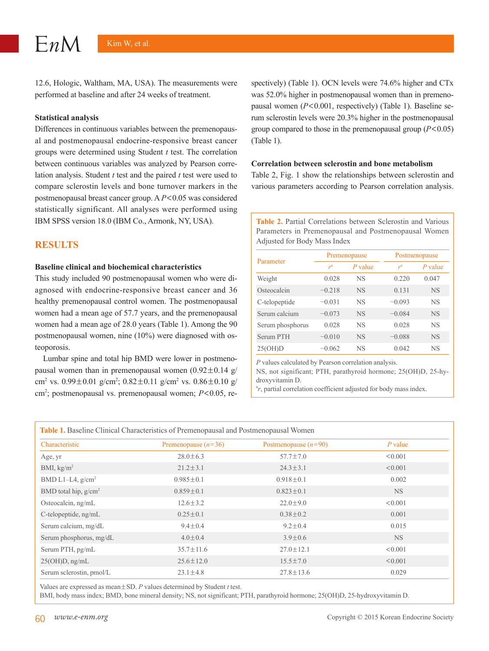12.6, Hologic, Waltham, MA, USA). The measurements were performed at baseline and after 24 weeks of treatment.

#### **Statistical analysis**

Differences in continuous variables between the premenopausal and postmenopausal endocrine-responsive breast cancer groups were determined using Student *t* test. The correlation between continuous variables was analyzed by Pearson correlation analysis. Student *t* test and the paired *t* test were used to compare sclerostin levels and bone turnover markers in the postmenopausal breast cancer group. A *P*<0.05 was considered statistically significant. All analyses were performed using IBM SPSS version 18.0 (IBM Co., Armonk, NY, USA).

### **RESULTS**

#### **Baseline clinical and biochemical characteristics**

This study included 90 postmenopausal women who were diagnosed with endocrine-responsive breast cancer and 36 healthy premenopausal control women. The postmenopausal women had a mean age of 57.7 years, and the premenopausal women had a mean age of 28.0 years (Table 1). Among the 90 postmenopausal women, nine (10%) were diagnosed with osteoporosis.

Lumbar spine and total hip BMD were lower in postmenopausal women than in premenopausal women  $(0.92 \pm 0.14 \text{ g})$ cm<sup>2</sup> vs. 0.99 $\pm$ 0.01 g/cm<sup>2</sup>; 0.82 $\pm$ 0.11 g/cm<sup>2</sup> vs. 0.86 $\pm$ 0.10 g/ cm2 ; postmenopausal vs. premenopausal women; *P*<0.05, respectively) (Table 1). OCN levels were 74.6% higher and CTx was 52.0% higher in postmenopausal women than in premenopausal women (*P*<0.001, respectively) (Table 1). Baseline serum sclerostin levels were 20.3% higher in the postmenopausal group compared to those in the premenopausal group (*P*<0.05) (Table 1).

#### **Correlation between sclerostin and bone metabolism**

Table 2, Fig. 1 show the relationships between sclerostin and various parameters according to Pearson correlation analysis.

**Table 2.** Partial Correlations between Sclerostin and Various Parameters in Premenopausal and Postmenopausal Women Adjusted for Body Mass Index

|                  | Premenopause   |                 | Postmenopause    |           |
|------------------|----------------|-----------------|------------------|-----------|
| Parameter        | r <sup>a</sup> | $P$ value       | $r^{\mathsf{a}}$ | $P$ value |
| Weight           | 0.028          | NS.             | 0.220            | 0.047     |
| Osteocalcin      | $-0.218$       | <b>NS</b>       | 0.131            | <b>NS</b> |
| C-telopeptide    | $-0.031$       | NS.             | $-0.093$         | <b>NS</b> |
| Serum calcium    | $-0.073$       | <b>NS</b>       | $-0.084$         | <b>NS</b> |
| Serum phosphorus | 0.028          | NS.             | 0.028            | <b>NS</b> |
| Serum PTH        | $-0.010$       | NS <sub>1</sub> | $-0.088$         | <b>NS</b> |
| 25(OH)D          | $-0.062$       | <b>NS</b>       | 0.042            | <b>NS</b> |

*P* values calculated by Pearson correlation analysis.

NS, not significant; PTH, parathyroid hormone; 25(OH)D, 25-hydroxyvitamin D.

<sup>a</sup>r, partial correlation coefficient adjusted for body mass index.

| Table 1. Baseline Clinical Characteristics of Premenopausal and Postmenopausal Women |                       |                        |           |  |  |
|--------------------------------------------------------------------------------------|-----------------------|------------------------|-----------|--|--|
| Characteristic                                                                       | Premenopause $(n=36)$ | Postmenopause $(n=90)$ | $P$ value |  |  |
| Age, yr                                                                              | $28.0 \pm 6.3$        | $57.7 \pm 7.0$         | < 0.001   |  |  |
| BMI, $kg/m2$                                                                         | $21.2 \pm 3.1$        | $24.3 \pm 3.1$         | < 0.001   |  |  |
| BMD L1-L4, $g/cm^2$                                                                  | $0.985 \pm 0.1$       | $0.918 \pm 0.1$        | 0.002     |  |  |
| BMD total hip, $g/cm2$                                                               | $0.859 \pm 0.1$       | $0.823 \pm 0.1$        | NS.       |  |  |
| Osteocalcin, ng/mL                                                                   | $12.6 \pm 3.2$        | $22.0 \pm 9.0$         | < 0.001   |  |  |
| C-telopeptide, ng/mL                                                                 | $0.25 \pm 0.1$        | $0.38 \pm 0.2$         | 0.001     |  |  |
| Serum calcium, mg/dL                                                                 | $9.4 \pm 0.4$         | $9.2 \pm 0.4$          | 0.015     |  |  |
| Serum phosphorus, mg/dL                                                              | $4.0 \pm 0.4$         | $3.9 + 0.6$            | NS.       |  |  |
| Serum PTH, pg/mL                                                                     | $35.7 \pm 11.6$       | $27.0 \pm 12.1$        | < 0.001   |  |  |
| $25(OH)D$ , ng/mL                                                                    | $25.6 \pm 12.0$       | $15.5 \pm 7.0$         | < 0.001   |  |  |
| Serum sclerostin, pmol/L                                                             | $23.1 \pm 4.8$        | $27.8 \pm 13.6$        | 0.029     |  |  |

Values are expressed as mean±SD. *P* values determined by Student *t* test.

BMI, body mass index; BMD, bone mineral density; NS, not significant; PTH, parathyroid hormone; 25(OH)D, 25-hydroxyvitamin D.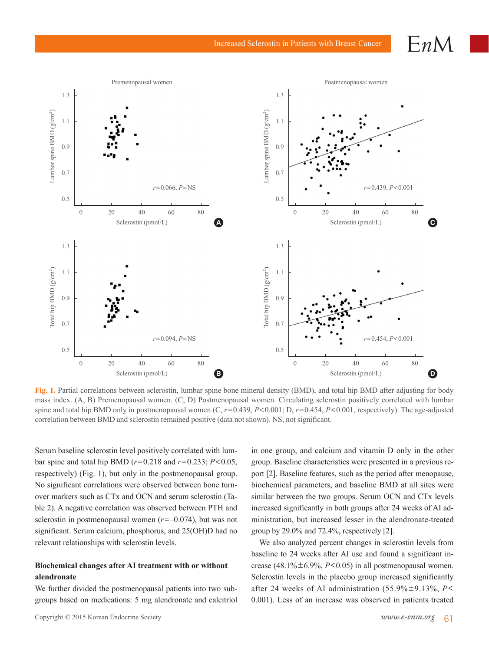#### 1.3 1.1 0.9 0.7 0.5 1.3 1.1 0.9 0.7 0.5 1.3 1.1 0.9 0.7 0.5 1.3 1.1 0.9 0.7 0.5 Lumbar spine BMD (g/cm<sup>2</sup>  $\subset$ Total hip BMD  $(g/cm^2)$  $\subset$ Lumbar spine BMD (g/cm<sup>2</sup>  $\subset$ Total hip BMD  $(g/cm^2)$ **)** 0 20 40 60 80 0 20 40 60 80 0 20 40 60 80 0 20 40 60 80 Sclerostin (pmol/L) Sclerostin (pmol/L) Premenopausal women Sclerostin (pmol/L) Sclerostin (pmol/L) Postmenopausal women *r*=0.066, *P*=NS *r*=0.094, *P*=NS *r*=0.439, *P*<0.001 *r*=0.454, *P*<0.001 **A B C D**

**Fig. 1.** Partial correlations between sclerostin, lumbar spine bone mineral density (BMD), and total hip BMD after adjusting for body mass index. (A, B) Premenopausal women. (C, D) Postmenopausal women. Circulating sclerostin positively correlated with lumbar spine and total hip BMD only in postmenopausal women (C, *r*=0.439, *P*<0.001; D, *r*=0.454, *P*<0.001, respectively). The age-adjusted correlation between BMD and sclerostin remained positive (data not shown). NS, not significant.

Serum baseline sclerostin level positively correlated with lumbar spine and total hip BMD ( $r = 0.218$  and  $r = 0.233$ ;  $P < 0.05$ , respectively) (Fig. 1), but only in the postmenopausal group. No significant correlations were observed between bone turnover markers such as CTx and OCN and serum sclerostin (Table 2). A negative correlation was observed between PTH and sclerostin in postmenopausal women (*r*=–0.074), but was not significant. Serum calcium, phosphorus, and 25(OH)D had no relevant relationships with sclerostin levels.

# **Biochemical changes after AI treatment with or without alendronate**

We further divided the postmenopausal patients into two subgroups based on medications: 5 mg alendronate and calcitriol in one group, and calcium and vitamin D only in the other group. Baseline characteristics were presented in a previous report [2]. Baseline features, such as the period after menopause, biochemical parameters, and baseline BMD at all sites were similar between the two groups. Serum OCN and CTx levels increased significantly in both groups after 24 weeks of AI administration, but increased lesser in the alendronate-treated group by 29.0% and 72.4%, respectively [2].

We also analyzed percent changes in sclerostin levels from baseline to 24 weeks after AI use and found a significant increase  $(48.1\% \pm 6.9\%, P<0.05)$  in all postmenopausal women. Sclerostin levels in the placebo group increased significantly after 24 weeks of AI administration (55.9%±9.13%, *P*< 0.001). Less of an increase was observed in patients treated

 $EnM$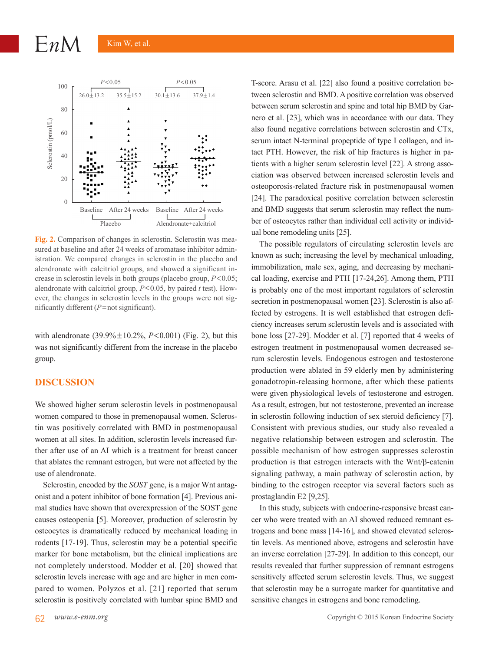

**Fig. 2.** Comparison of changes in sclerostin. Sclerostin was measured at baseline and after 24 weeks of aromatase inhibitor administration. We compared changes in sclerostin in the placebo and alendronate with calcitriol groups, and showed a significant increase in sclerostin levels in both groups (placebo group, *P*<0.05; alendronate with calcitriol group, *P*<0.05, by paired *t* test). However, the changes in sclerostin levels in the groups were not significantly different (*P*=not significant).

with alendronate (39.9%±10.2%, *P*<0.001) (Fig. 2), but this was not significantly different from the increase in the placebo group.

# **DISCUSSION**

We showed higher serum sclerostin levels in postmenopausal women compared to those in premenopausal women. Sclerostin was positively correlated with BMD in postmenopausal women at all sites. In addition, sclerostin levels increased further after use of an AI which is a treatment for breast cancer that ablates the remnant estrogen, but were not affected by the use of alendronate.

Sclerostin, encoded by the *SOST* gene, is a major Wnt antagonist and a potent inhibitor of bone formation [4]. Previous animal studies have shown that overexpression of the SOST gene causes osteopenia [5]. Moreover, production of sclerostin by osteocytes is dramatically reduced by mechanical loading in rodents [17-19]. Thus, sclerostin may be a potential specific marker for bone metabolism, but the clinical implications are not completely understood. Modder et al. [20] showed that sclerostin levels increase with age and are higher in men compared to women. Polyzos et al. [21] reported that serum sclerostin is positively correlated with lumbar spine BMD and

T-score. Arasu et al. [22] also found a positive correlation between sclerostin and BMD. A positive correlation was observed between serum sclerostin and spine and total hip BMD by Garnero et al. [23], which was in accordance with our data. They also found negative correlations between sclerostin and CTx, serum intact N-terminal propeptide of type I collagen, and intact PTH. However, the risk of hip fractures is higher in patients with a higher serum sclerostin level [22]. A strong association was observed between increased sclerostin levels and osteoporosis-related fracture risk in postmenopausal women [24]. The paradoxical positive correlation between sclerostin and BMD suggests that serum sclerostin may reflect the number of osteocytes rather than individual cell activity or individual bone remodeling units [25].

The possible regulators of circulating sclerostin levels are known as such; increasing the level by mechanical unloading, immobilization, male sex, aging, and decreasing by mechanical loading, exercise and PTH [17-24,26]. Among them, PTH is probably one of the most important regulators of sclerostin secretion in postmenopausal women [23]. Sclerostin is also affected by estrogens. It is well established that estrogen deficiency increases serum sclerostin levels and is associated with bone loss [27-29]. Modder et al. [7] reported that 4 weeks of estrogen treatment in postmenopausal women decreased serum sclerostin levels. Endogenous estrogen and testosterone production were ablated in 59 elderly men by administering gonadotropin-releasing hormone, after which these patients were given physiological levels of testosterone and estrogen. As a result, estrogen, but not testosterone, prevented an increase in sclerostin following induction of sex steroid deficiency [7]. Consistent with previous studies, our study also revealed a negative relationship between estrogen and sclerostin. The possible mechanism of how estrogen suppresses sclerostin production is that estrogen interacts with the Wnt/β-catenin signaling pathway, a main pathway of sclerostin action, by binding to the estrogen receptor via several factors such as prostaglandin E2 [9,25].

In this study, subjects with endocrine-responsive breast cancer who were treated with an AI showed reduced remnant estrogens and bone mass [14-16], and showed elevated sclerostin levels. As mentioned above, estrogens and sclerostin have an inverse correlation [27-29]. In addition to this concept, our results revealed that further suppression of remnant estrogens sensitively affected serum sclerostin levels. Thus, we suggest that sclerostin may be a surrogate marker for quantitative and sensitive changes in estrogens and bone remodeling.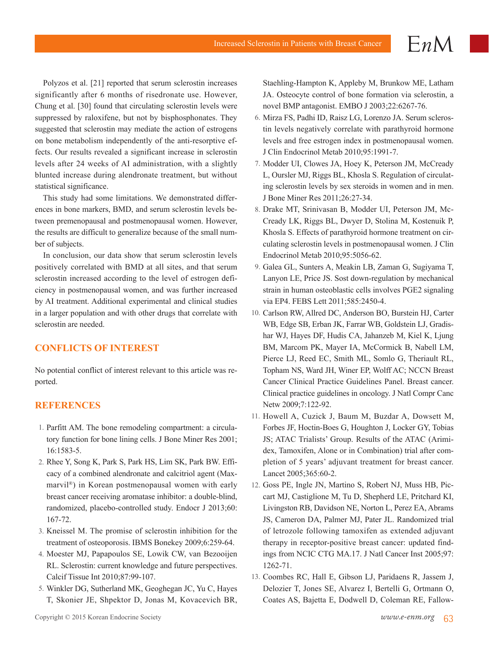Polyzos et al. [21] reported that serum sclerostin increases significantly after 6 months of risedronate use. However, Chung et al. [30] found that circulating sclerostin levels were suppressed by raloxifene, but not by bisphosphonates. They suggested that sclerostin may mediate the action of estrogens on bone metabolism independently of the anti-resorptive effects. Our results revealed a significant increase in sclerostin levels after 24 weeks of AI administration, with a slightly blunted increase during alendronate treatment, but without statistical significance.

This study had some limitations. We demonstrated differences in bone markers, BMD, and serum sclerostin levels between premenopausal and postmenopausal women. However, the results are difficult to generalize because of the small number of subjects.

In conclusion, our data show that serum sclerostin levels positively correlated with BMD at all sites, and that serum sclerostin increased according to the level of estrogen deficiency in postmenopausal women, and was further increased by AI treatment. Additional experimental and clinical studies in a larger population and with other drugs that correlate with sclerostin are needed.

# **CONFLICTS OF INTEREST**

No potential conflict of interest relevant to this article was reported.

# **REFERENCES**

- 1. Parfitt AM. The bone remodeling compartment: a circulatory function for bone lining cells. J Bone Miner Res 2001; 16:1583-5.
- 2. Rhee Y, Song K, Park S, Park HS, Lim SK, Park BW. Efficacy of a combined alendronate and calcitriol agent (Maxmarvil®) in Korean postmenopausal women with early breast cancer receiving aromatase inhibitor: a double-blind, randomized, placebo-controlled study. Endocr J 2013;60: 167-72.
- 3. Kneissel M. The promise of sclerostin inhibition for the treatment of osteoporosis. IBMS Bonekey 2009;6:259-64.
- 4. Moester MJ, Papapoulos SE, Lowik CW, van Bezooijen RL. Sclerostin: current knowledge and future perspectives. Calcif Tissue Int 2010;87:99-107.
- 5. Winkler DG, Sutherland MK, Geoghegan JC, Yu C, Hayes T, Skonier JE, Shpektor D, Jonas M, Kovacevich BR,

Staehling-Hampton K, Appleby M, Brunkow ME, Latham JA. Osteocyte control of bone formation via sclerostin, a novel BMP antagonist. EMBO J 2003;22:6267-76.

 $EnM$ 

- 6. Mirza FS, Padhi ID, Raisz LG, Lorenzo JA. Serum sclerostin levels negatively correlate with parathyroid hormone levels and free estrogen index in postmenopausal women. J Clin Endocrinol Metab 2010;95:1991-7.
- 7. Modder UI, Clowes JA, Hoey K, Peterson JM, McCready L, Oursler MJ, Riggs BL, Khosla S. Regulation of circulating sclerostin levels by sex steroids in women and in men. J Bone Miner Res 2011;26:27-34.
- 8. Drake MT, Srinivasan B, Modder UI, Peterson JM, Mc-Cready LK, Riggs BL, Dwyer D, Stolina M, Kostenuik P, Khosla S. Effects of parathyroid hormone treatment on circulating sclerostin levels in postmenopausal women. J Clin Endocrinol Metab 2010;95:5056-62.
- 9. Galea GL, Sunters A, Meakin LB, Zaman G, Sugiyama T, Lanyon LE, Price JS. Sost down-regulation by mechanical strain in human osteoblastic cells involves PGE2 signaling via EP4. FEBS Lett 2011;585:2450-4.
- 10. Carlson RW, Allred DC, Anderson BO, Burstein HJ, Carter WB, Edge SB, Erban JK, Farrar WB, Goldstein LJ, Gradishar WJ, Hayes DF, Hudis CA, Jahanzeb M, Kiel K, Ljung BM, Marcom PK, Mayer IA, McCormick B, Nabell LM, Pierce LJ, Reed EC, Smith ML, Somlo G, Theriault RL, Topham NS, Ward JH, Winer EP, Wolff AC; NCCN Breast Cancer Clinical Practice Guidelines Panel. Breast cancer. Clinical practice guidelines in oncology. J Natl Compr Canc Netw 2009;7:122-92.
- 11. Howell A, Cuzick J, Baum M, Buzdar A, Dowsett M, Forbes JF, Hoctin-Boes G, Houghton J, Locker GY, Tobias JS; ATAC Trialists' Group. Results of the ATAC (Arimidex, Tamoxifen, Alone or in Combination) trial after completion of 5 years' adjuvant treatment for breast cancer. Lancet 2005;365:60-2.
- 12. Goss PE, Ingle JN, Martino S, Robert NJ, Muss HB, Piccart MJ, Castiglione M, Tu D, Shepherd LE, Pritchard KI, Livingston RB, Davidson NE, Norton L, Perez EA, Abrams JS, Cameron DA, Palmer MJ, Pater JL. Randomized trial of letrozole following tamoxifen as extended adjuvant therapy in receptor-positive breast cancer: updated findings from NCIC CTG MA.17. J Natl Cancer Inst 2005;97: 1262-71.
- 13. Coombes RC, Hall E, Gibson LJ, Paridaens R, Jassem J, Delozier T, Jones SE, Alvarez I, Bertelli G, Ortmann O, Coates AS, Bajetta E, Dodwell D, Coleman RE, Fallow-